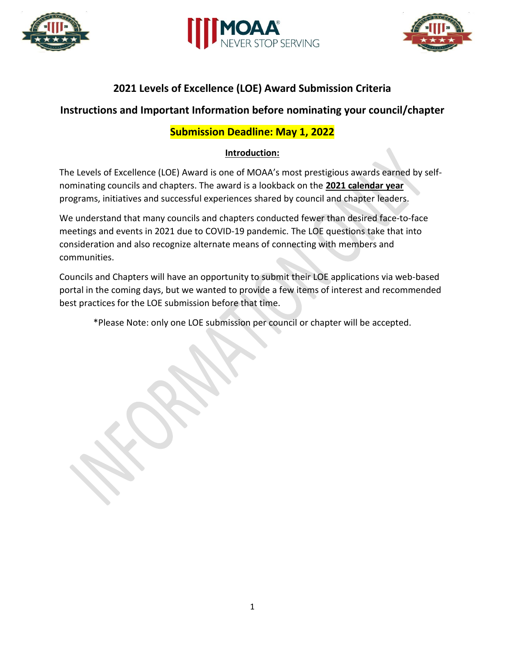





# **2021 Levels of Excellence (LOE) Award Submission Criteria**

# **Instructions and Important Information before nominating your council/chapter**

# **Submission Deadline: May 1, 2022**

## **Introduction:**

The Levels of Excellence (LOE) Award is one of MOAA's most prestigious awards earned by selfnominating councils and chapters. The award is a lookback on the **2021 calendar year** programs, initiatives and successful experiences shared by council and chapter leaders.

We understand that many councils and chapters conducted fewer than desired face-to-face meetings and events in 2021 due to COVID-19 pandemic. The LOE questions take that into consideration and also recognize alternate means of connecting with members and communities.

Councils and Chapters will have an opportunity to submit their LOE applications via web-based portal in the coming days, but we wanted to provide a few items of interest and recommended best practices for the LOE submission before that time.

\*Please Note: only one LOE submission per council or chapter will be accepted.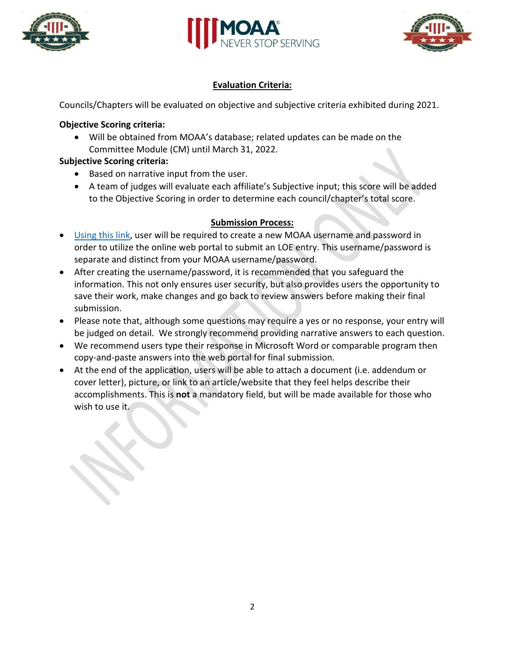





## **Evaluation Criteria:**

Councils/Chapters will be evaluated on objective and subjective criteria exhibited during 2021.

### **Objective Scoring criteria:**

• Will be obtained from MOAA's database; related updates can be made on the Committee Module (CM) until March 31, 2022.

### **Subjective Scoring criteria:**

- Based on narrative input from the user.
- A team of judges will evaluate each affiliate's Subjective input; this score will be added to the Objective Scoring in order to determine each council/chapter's total score.

### **Submission Process:**

- [Using this link,](https://www.moaa.org/content/chapters-and-councils/moaa-awards/moaa-levels-of-excellence-awards/) user will be required to create a new MOAA username and password in order to utilize the online web portal to submit an LOE entry. This username/password is separate and distinct from your MOAA username/password.
- After creating the username/password, it is recommended that you safeguard the information. This not only ensures user security, but also provides users the opportunity to save their work, make changes and go back to review answers before making their final submission.
- Please note that, although some questions may require a yes or no response, your entry will be judged on detail. We strongly recommend providing narrative answers to each question.
- We recommend users type their response in Microsoft Word or comparable program then copy-and-paste answers into the web portal for final submission.
- At the end of the application, users will be able to attach a document (i.e. addendum or cover letter), picture, or link to an article/website that they feel helps describe their accomplishments. This is **not** a mandatory field, but will be made available for those who wish to use it.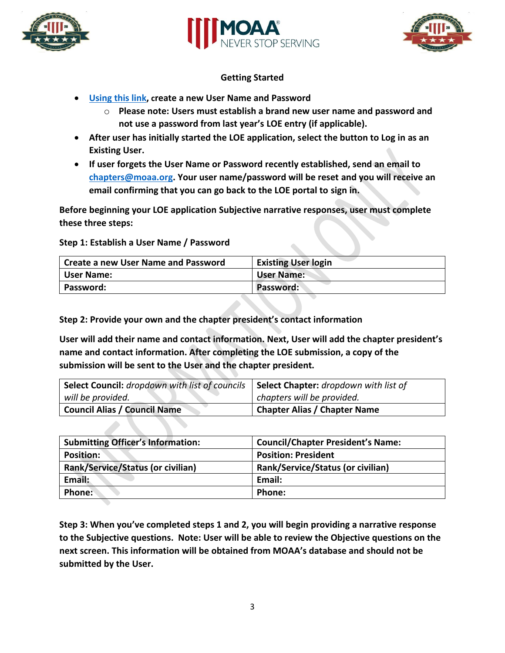





#### **Getting Started**

- **[Using this link,](https://www.moaa.org/content/chapters-and-councils/moaa-awards/moaa-levels-of-excellence-awards/) create a new User Name and Password**
	- o **Please note: Users must establish a brand new user name and password and not use a password from last year's LOE entry (if applicable).**
- **After user has initially started the LOE application, select the button to Log in as an Existing User.**
- **If user forgets the User Name or Password recently established, send an email to [chapters@moaa.org.](mailto:chapters@moaa.org) Your user name/password will be reset and you will receive an email confirming that you can go back to the LOE portal to sign in.**

**Before beginning your LOE application Subjective narrative responses, user must complete these three steps:**

#### **Step 1: Establish a User Name / Password**

| Create a new User Name and Password | <b>Existing User login</b> |
|-------------------------------------|----------------------------|
| User Name:                          | <b>User Name:</b>          |
| Password:                           | Password:                  |

**Step 2: Provide your own and the chapter president's contact information**

**User will add their name and contact information. Next, User will add the chapter president's name and contact information. After completing the LOE submission, a copy of the submission will be sent to the User and the chapter president.**

| Select Council: dropdown with list of councils | Select Chapter: dropdown with list of |
|------------------------------------------------|---------------------------------------|
| will be provided.                              | chapters will be provided.            |
| <b>Council Alias / Council Name</b>            | <b>Chapter Alias / Chapter Name</b>   |

| <b>Submitting Officer's Information:</b> | <b>Council/Chapter President's Name:</b> |
|------------------------------------------|------------------------------------------|
| Position:                                | <b>Position: President</b>               |
| Rank/Service/Status (or civilian)        | <b>Rank/Service/Status (or civilian)</b> |
| Email:                                   | Email:                                   |
| Phone:                                   | Phone:                                   |

**Step 3: When you've completed steps 1 and 2, you will begin providing a narrative response to the Subjective questions. Note: User will be able to review the Objective questions on the next screen. This information will be obtained from MOAA's database and should not be submitted by the User.**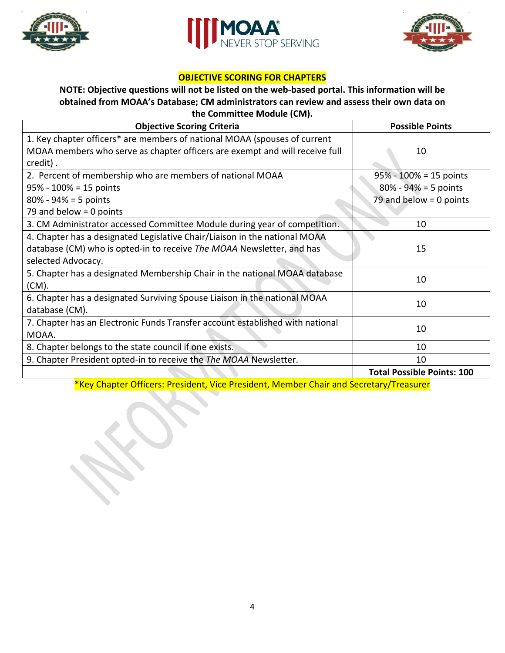





### **OBJECTIVE SCORING FOR CHAPTERS**

### **NOTE: Objective questions will not be listed on the web-based portal. This information will be obtained from MOAA's Database; CM administrators can review and assess their own data on the Committee Module (CM).**

| <b>Objective Scoring Criteria</b>                                             | <b>Possible Points</b>            |
|-------------------------------------------------------------------------------|-----------------------------------|
| 1. Key chapter officers* are members of national MOAA (spouses of current     |                                   |
| MOAA members who serve as chapter officers are exempt and will receive full   | 10                                |
| credit).                                                                      |                                   |
| 2. Percent of membership who are members of national MOAA                     | $95\% - 100\% = 15$ points        |
| $95\% - 100\% = 15$ points                                                    | $80\% - 94\% = 5$ points          |
| $80\% - 94\% = 5$ points                                                      | 79 and below $= 0$ points         |
| 79 and below = 0 points                                                       |                                   |
| 3. CM Administrator accessed Committee Module during year of competition.     | 10                                |
| 4. Chapter has a designated Legislative Chair/Liaison in the national MOAA    |                                   |
| database (CM) who is opted-in to receive The MOAA Newsletter, and has         | 15                                |
| selected Advocacy.                                                            |                                   |
| 5. Chapter has a designated Membership Chair in the national MOAA database    | 10                                |
| $(CM)$ .                                                                      |                                   |
| 6. Chapter has a designated Surviving Spouse Liaison in the national MOAA     | 10                                |
| database (CM).                                                                |                                   |
| 7. Chapter has an Electronic Funds Transfer account established with national | 10                                |
| MOAA.                                                                         |                                   |
| 8. Chapter belongs to the state council if one exists.                        | 10                                |
| 9. Chapter President opted-in to receive the The MOAA Newsletter.             | 10                                |
|                                                                               | <b>Total Possible Points: 100</b> |

\*Key Chapter Officers: President, Vice President, Member Chair and Secretary/Treasurer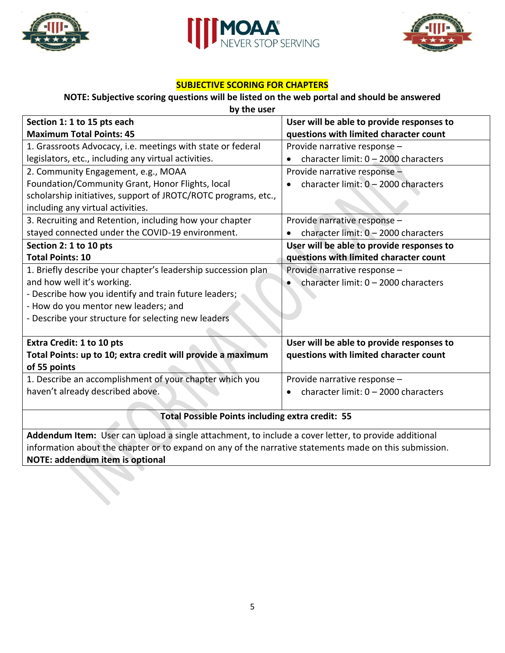





# **SUBJECTIVE SCORING FOR CHAPTERS**

# **NOTE: Subjective scoring questions will be listed on the web portal and should be answered**

| by the user                                                                                            |                                                   |  |  |
|--------------------------------------------------------------------------------------------------------|---------------------------------------------------|--|--|
| Section 1: 1 to 15 pts each                                                                            | User will be able to provide responses to         |  |  |
| <b>Maximum Total Points: 45</b>                                                                        | questions with limited character count            |  |  |
| 1. Grassroots Advocacy, i.e. meetings with state or federal                                            | Provide narrative response -                      |  |  |
| legislators, etc., including any virtual activities.                                                   | character limit: $0 - 2000$ characters            |  |  |
| 2. Community Engagement, e.g., MOAA                                                                    | Provide narrative response -                      |  |  |
| Foundation/Community Grant, Honor Flights, local                                                       | character limit: 0 - 2000 characters              |  |  |
| scholarship initiatives, support of JROTC/ROTC programs, etc.,                                         |                                                   |  |  |
| including any virtual activities.                                                                      |                                                   |  |  |
| 3. Recruiting and Retention, including how your chapter                                                | Provide narrative response -                      |  |  |
| stayed connected under the COVID-19 environment.                                                       | character limit: 0 - 2000 characters              |  |  |
| Section 2: 1 to 10 pts                                                                                 | User will be able to provide responses to         |  |  |
| <b>Total Points: 10</b>                                                                                | questions with limited character count            |  |  |
| 1. Briefly describe your chapter's leadership succession plan                                          | Provide narrative response -                      |  |  |
| and how well it's working.                                                                             | character limit: $0 - 2000$ characters            |  |  |
| - Describe how you identify and train future leaders;                                                  |                                                   |  |  |
| - How do you mentor new leaders; and                                                                   |                                                   |  |  |
| - Describe your structure for selecting new leaders                                                    |                                                   |  |  |
|                                                                                                        |                                                   |  |  |
| <b>Extra Credit: 1 to 10 pts</b>                                                                       | User will be able to provide responses to         |  |  |
| Total Points: up to 10; extra credit will provide a maximum                                            | questions with limited character count            |  |  |
| of 55 points                                                                                           |                                                   |  |  |
| 1. Describe an accomplishment of your chapter which you                                                | Provide narrative response -                      |  |  |
| haven't already described above.                                                                       | character limit: 0 - 2000 characters<br>$\bullet$ |  |  |
|                                                                                                        |                                                   |  |  |
| <b>Total Possible Points including extra credit: 55</b>                                                |                                                   |  |  |
| Addendum Item: User can upload a single attachment, to include a cover letter, to provide additional   |                                                   |  |  |
| information about the chapter or to expand on any of the narrative statements made on this submission. |                                                   |  |  |

**NOTE: addendum item is optional**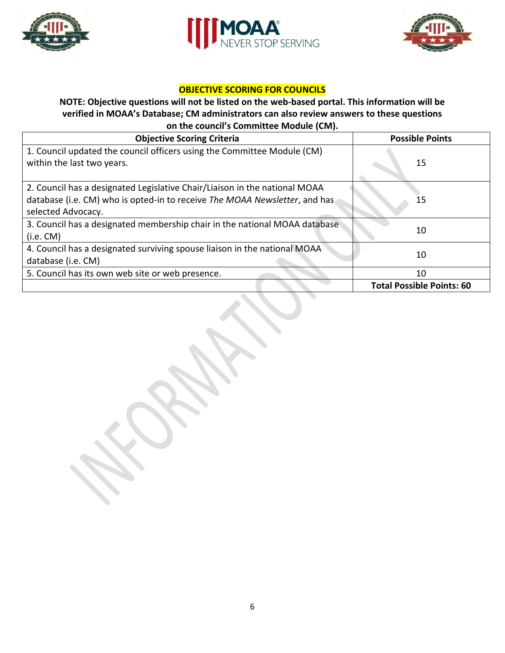





# **OBJECTIVE SCORING FOR COUNCILS**

#### **NOTE: Objective questions will not be listed on the web-based portal. This information will be verified in MOAA's Database; CM administrators can also review answers to these questions on the council's Committee Module (CM).**

| <b>Objective Scoring Criteria</b>                                          | <b>Possible Points</b>           |  |
|----------------------------------------------------------------------------|----------------------------------|--|
| 1. Council updated the council officers using the Committee Module (CM)    |                                  |  |
| within the last two years.                                                 | 15                               |  |
|                                                                            |                                  |  |
| 2. Council has a designated Legislative Chair/Liaison in the national MOAA |                                  |  |
| database (i.e. CM) who is opted-in to receive The MOAA Newsletter, and has | 15                               |  |
| selected Advocacy.                                                         |                                  |  |
| 3. Council has a designated membership chair in the national MOAA database |                                  |  |
| (i.e. CM)                                                                  | 10                               |  |
| 4. Council has a designated surviving spouse liaison in the national MOAA  |                                  |  |
| database (i.e. CM)                                                         | 10                               |  |
| 5. Council has its own web site or web presence.                           | 10                               |  |
|                                                                            | <b>Total Possible Points: 60</b> |  |

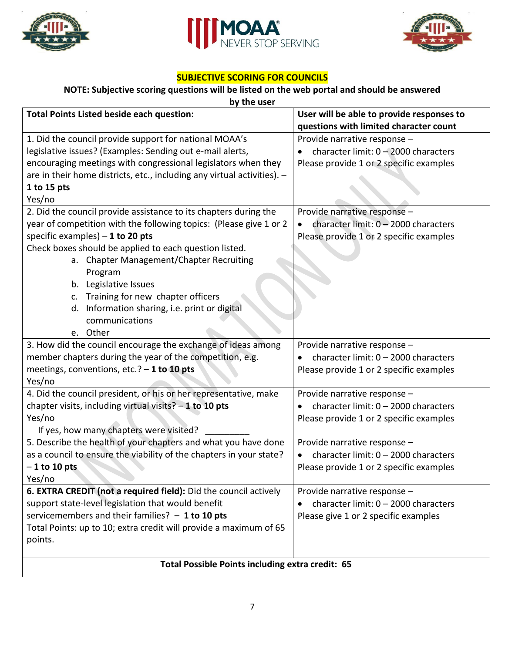





## **SUBJECTIVE SCORING FOR COUNCILS**

# **NOTE: Subjective scoring questions will be listed on the web portal and should be answered**

| by the user                                                             |                                                                                     |  |  |
|-------------------------------------------------------------------------|-------------------------------------------------------------------------------------|--|--|
| <b>Total Points Listed beside each question:</b>                        | User will be able to provide responses to<br>questions with limited character count |  |  |
| 1. Did the council provide support for national MOAA's                  | Provide narrative response -                                                        |  |  |
| legislative issues? (Examples: Sending out e-mail alerts,               | character limit: 0 - 2000 characters                                                |  |  |
| encouraging meetings with congressional legislators when they           | Please provide 1 or 2 specific examples                                             |  |  |
| are in their home districts, etc., including any virtual activities). - |                                                                                     |  |  |
| 1 to 15 pts                                                             |                                                                                     |  |  |
| Yes/no                                                                  |                                                                                     |  |  |
| 2. Did the council provide assistance to its chapters during the        | Provide narrative response -                                                        |  |  |
| year of competition with the following topics: (Please give 1 or 2      | character limit: 0 - 2000 characters<br>$\bullet$                                   |  |  |
| specific examples) $-1$ to 20 pts                                       | Please provide 1 or 2 specific examples                                             |  |  |
| Check boxes should be applied to each question listed.                  |                                                                                     |  |  |
| a. Chapter Management/Chapter Recruiting                                |                                                                                     |  |  |
| Program                                                                 |                                                                                     |  |  |
| Legislative Issues<br>b.                                                |                                                                                     |  |  |
| Training for new chapter officers<br>c.                                 |                                                                                     |  |  |
| Information sharing, i.e. print or digital<br>d.                        |                                                                                     |  |  |
| communications                                                          |                                                                                     |  |  |
| e. Other                                                                |                                                                                     |  |  |
| 3. How did the council encourage the exchange of ideas among            | Provide narrative response -                                                        |  |  |
| member chapters during the year of the competition, e.g.                | character limit: $0 - 2000$ characters                                              |  |  |
| meetings, conventions, etc.? - 1 to 10 pts                              | Please provide 1 or 2 specific examples                                             |  |  |
| Yes/no                                                                  |                                                                                     |  |  |
| 4. Did the council president, or his or her representative, make        | Provide narrative response -                                                        |  |  |
| chapter visits, including virtual visits? $-1$ to 10 pts                | character limit: $0 - 2000$ characters                                              |  |  |
| Yes/no                                                                  | Please provide 1 or 2 specific examples                                             |  |  |
| If yes, how many chapters were visited?                                 |                                                                                     |  |  |
| 5. Describe the health of your chapters and what you have done          | Provide narrative response -                                                        |  |  |
| as a council to ensure the viability of the chapters in your state?     | character limit: $0 - 2000$ characters                                              |  |  |
| $-1$ to 10 pts                                                          | Please provide 1 or 2 specific examples                                             |  |  |
| Yes/no                                                                  |                                                                                     |  |  |
| 6. EXTRA CREDIT (not a required field): Did the council actively        | Provide narrative response -                                                        |  |  |
| support state-level legislation that would benefit                      | character limit: $0 - 2000$ characters                                              |  |  |
| servicemembers and their families? $-1$ to 10 pts                       | Please give 1 or 2 specific examples                                                |  |  |
| Total Points: up to 10; extra credit will provide a maximum of 65       |                                                                                     |  |  |
| points.                                                                 |                                                                                     |  |  |
| Total Possible Points including extra credit: 65                        |                                                                                     |  |  |
|                                                                         |                                                                                     |  |  |